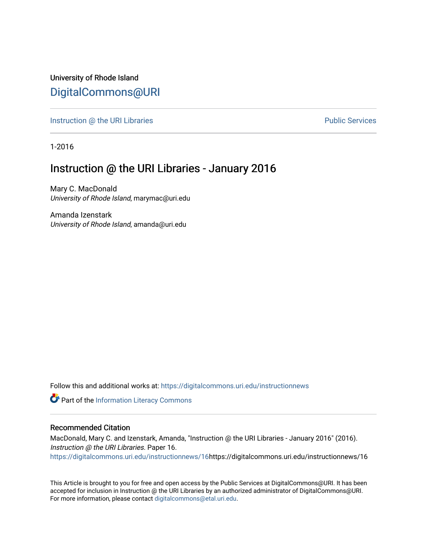University of Rhode Island [DigitalCommons@URI](https://digitalcommons.uri.edu/) 

[Instruction @ the URI Libraries](https://digitalcommons.uri.edu/instructionnews) **Public Services** Public Services

1-2016

## Instruction @ the URI Libraries - January 2016

Mary C. MacDonald University of Rhode Island, marymac@uri.edu

Amanda Izenstark University of Rhode Island, amanda@uri.edu

Follow this and additional works at: [https://digitalcommons.uri.edu/instructionnews](https://digitalcommons.uri.edu/instructionnews?utm_source=digitalcommons.uri.edu%2Finstructionnews%2F16&utm_medium=PDF&utm_campaign=PDFCoverPages)

Part of the [Information Literacy Commons](http://network.bepress.com/hgg/discipline/1243?utm_source=digitalcommons.uri.edu%2Finstructionnews%2F16&utm_medium=PDF&utm_campaign=PDFCoverPages)

#### Recommended Citation

MacDonald, Mary C. and Izenstark, Amanda, "Instruction @ the URI Libraries - January 2016" (2016). Instruction @ the URI Libraries. Paper 16. [https://digitalcommons.uri.edu/instructionnews/16h](https://digitalcommons.uri.edu/instructionnews/16?utm_source=digitalcommons.uri.edu%2Finstructionnews%2F16&utm_medium=PDF&utm_campaign=PDFCoverPages)ttps://digitalcommons.uri.edu/instructionnews/16

This Article is brought to you for free and open access by the Public Services at DigitalCommons@URI. It has been accepted for inclusion in Instruction @ the URI Libraries by an authorized administrator of DigitalCommons@URI. For more information, please contact [digitalcommons@etal.uri.edu](mailto:digitalcommons@etal.uri.edu).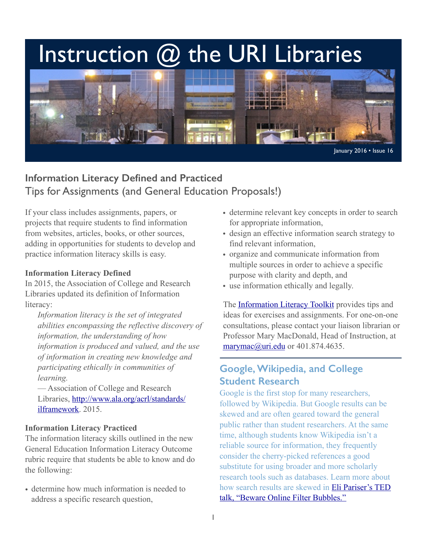# Instruction @ the URI Libraries



## **Information Literacy Defined and Practiced**  Tips for Assignments (and General Education Proposals!)

If your class includes assignments, papers, or projects that require students to find information from websites, articles, books, or other sources, adding in opportunities for students to develop and practice information literacy skills is easy.

#### **Information Literacy Defined**

In 2015, the Association of College and Research Libraries updated its definition of Information literacy:

*Information literacy is the set of integrated abilities encompassing the reflective discovery of information, the understanding of how information is produced and valued, and the use of information in creating new knowledge and participating ethically in communities of learning.*

— Association of College and Research [Libraries, http://www.ala.org/acrl/standards/](http://www.ala.org/acrl/standards/ilframework) ilframework. 2015.

#### **Information Literacy Practiced**

The information literacy skills outlined in the new General Education Information Literacy Outcome rubric require that students be able to know and do the following:

• determine how much information is needed to address a specific research question,

- determine relevant key concepts in order to search for appropriate information,
- design an effective information search strategy to find relevant information,
- organize and communicate information from multiple sources in order to achieve a specific purpose with clarity and depth, and
- use information ethically and legally.

The **Information Literacy Toolkit** provides tips and ideas for exercises and assignments. For one-on-one consultations, please contact your liaison librarian or Professor Mary MacDonald, Head of Instruction, at [marymac@uri.edu](mailto:marymac@uri.edu) or 401.874.4635.

## **Google, Wikipedia, and College Student Research**

Google is the first stop for many researchers, followed by Wikipedia. But Google results can be skewed and are often geared toward the general public rather than student researchers. At the same time, although students know Wikipedia isn't a reliable source for information, they frequently consider the cherry-picked references a good substitute for using broader and more scholarly research tools such as databases. Learn more about [how search results are skewed in Eli Pariser's TED](https://www.ted.com/talks/eli_pariser_beware_online_filter_bubbles?language=en)  talk, "Beware Online Filter Bubbles."